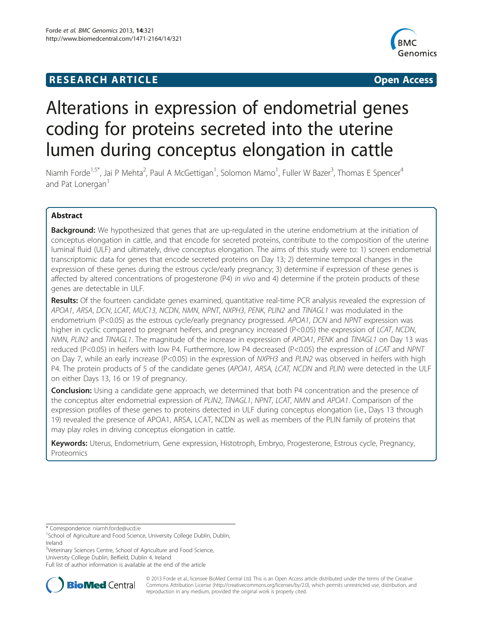# **RESEARCH ARTICLE Example 2014 CONSIDERING CONSIDERING CONSIDERING CONSIDERING CONSIDERING CONSIDERING CONSIDERING CONSIDERING CONSIDERING CONSIDERING CONSIDERING CONSIDERING CONSIDERING CONSIDERING CONSIDERING CONSIDE**



# Alterations in expression of endometrial genes coding for proteins secreted into the uterine lumen during conceptus elongation in cattle

Niamh Forde<sup>1,5\*</sup>, Jai P Mehta<sup>2</sup>, Paul A McGettigan<sup>1</sup>, Solomon Mamo<sup>1</sup>, Fuller W Bazer<sup>3</sup>, Thomas E Spencer<sup>4</sup> and Pat Lonergan<sup>1</sup>

# Abstract

Background: We hypothesized that genes that are up-regulated in the uterine endometrium at the initiation of conceptus elongation in cattle, and that encode for secreted proteins, contribute to the composition of the uterine luminal fluid (ULF) and ultimately, drive conceptus elongation. The aims of this study were to: 1) screen endometrial transcriptomic data for genes that encode secreted proteins on Day 13; 2) determine temporal changes in the expression of these genes during the estrous cycle/early pregnancy; 3) determine if expression of these genes is affected by altered concentrations of progesterone (P4) in vivo and 4) determine if the protein products of these genes are detectable in ULF.

Results: Of the fourteen candidate genes examined, quantitative real-time PCR analysis revealed the expression of APOA1, ARSA, DCN, LCAT, MUC13, NCDN, NMN, NPNT, NXPH3, PENK, PLIN2 and TINAGL1 was modulated in the endometrium (P<0.05) as the estrous cycle/early pregnancy progressed. APOA1, DCN and NPNT expression was higher in cyclic compared to pregnant heifers, and pregnancy increased (P<0.05) the expression of LCAT, NCDN, NMN, PLIN2 and TINAGL1. The magnitude of the increase in expression of APOA1, PENK and TINAGL1 on Day 13 was reduced (P<0.05) in heifers with low P4. Furthermore, low P4 decreased (P<0.05) the expression of LCAT and NPNT on Day 7, while an early increase (P<0.05) in the expression of NXPH3 and PLIN2 was observed in heifers with high P4. The protein products of 5 of the candidate genes (APOA1, ARSA, LCAT, NCDN and PLIN) were detected in the ULF on either Days 13, 16 or 19 of pregnancy.

**Conclusion:** Using a candidate gene approach, we determined that both P4 concentration and the presence of the conceptus alter endometrial expression of PLIN2, TINAGL1, NPNT, LCAT, NMN and APOA1. Comparison of the expression profiles of these genes to proteins detected in ULF during conceptus elongation (i.e., Days 13 through 19) revealed the presence of APOA1, ARSA, LCAT, NCDN as well as members of the PLIN family of proteins that may play roles in driving conceptus elongation in cattle.

Keywords: Uterus, Endometrium, Gene expression, Histotroph, Embryo, Progesterone, Estrous cycle, Pregnancy, Proteomics

5 Veterinary Sciences Centre, School of Agriculture and Food Science, University College Dublin, Belfield, Dublin 4, Ireland

Full list of author information is available at the end of the article



© 2013 Forde et al.; licensee BioMed Central Ltd. This is an Open Access article distributed under the terms of the Creative Commons Attribution License [\(http://creativecommons.org/licenses/by/2.0\)](http://creativecommons.org/licenses/by/2.0), which permits unrestricted use, distribution, and reproduction in any medium, provided the original work is properly cited.

<sup>\*</sup> Correspondence: [niamh.forde@ucd.ie](mailto:niamh.forde@ucd.ie) <sup>1</sup>

<sup>&</sup>lt;sup>1</sup>School of Agriculture and Food Science, University College Dublin, Dublin, Ireland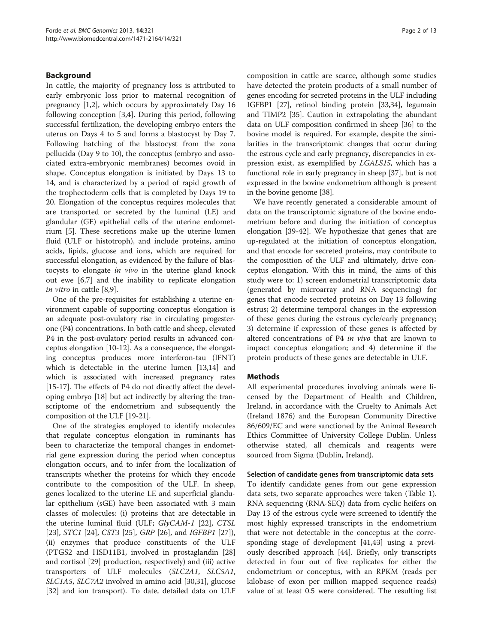## Background

In cattle, the majority of pregnancy loss is attributed to early embryonic loss prior to maternal recognition of pregnancy [[1,2\]](#page-11-0), which occurs by approximately Day 16 following conception [[3,4\]](#page-11-0). During this period, following successful fertilization, the developing embryo enters the uterus on Days 4 to 5 and forms a blastocyst by Day 7. Following hatching of the blastocyst from the zona pellucida (Day 9 to 10), the conceptus (embryo and associated extra-embryonic membranes) becomes ovoid in shape. Conceptus elongation is initiated by Days 13 to 14, and is characterized by a period of rapid growth of the trophectoderm cells that is completed by Days 19 to 20. Elongation of the conceptus requires molecules that are transported or secreted by the luminal (LE) and glandular (GE) epithelial cells of the uterine endometrium [\[5\]](#page-11-0). These secretions make up the uterine lumen fluid (ULF or histotroph), and include proteins, amino acids, lipids, glucose and ions, which are required for successful elongation, as evidenced by the failure of blastocysts to elongate in vivo in the uterine gland knock out ewe [\[6,7](#page-11-0)] and the inability to replicate elongation in vitro in cattle [\[8](#page-11-0),[9](#page-11-0)].

One of the pre-requisites for establishing a uterine environment capable of supporting conceptus elongation is an adequate post-ovulatory rise in circulating progesterone (P4) concentrations. In both cattle and sheep, elevated P4 in the post-ovulatory period results in advanced conceptus elongation [[10](#page-11-0)-[12](#page-11-0)]. As a consequence, the elongating conceptus produces more interferon-tau (IFNT) which is detectable in the uterine lumen [\[13,14\]](#page-11-0) and which is associated with increased pregnancy rates [[15](#page-11-0)-[17\]](#page-11-0). The effects of P4 do not directly affect the developing embryo [\[18](#page-11-0)] but act indirectly by altering the transcriptome of the endometrium and subsequently the composition of the ULF [[19-21\]](#page-11-0).

One of the strategies employed to identify molecules that regulate conceptus elongation in ruminants has been to characterize the temporal changes in endometrial gene expression during the period when conceptus elongation occurs, and to infer from the localization of transcripts whether the proteins for which they encode contribute to the composition of the ULF. In sheep, genes localized to the uterine LE and superficial glandular epithelium (sGE) have been associated with 3 main classes of molecules: (i) proteins that are detectable in the uterine luminal fluid (ULF; GlyCAM-1 [[22\]](#page-11-0), CTSL [[23\]](#page-11-0), *STC1* [[24\]](#page-11-0), *CST3* [[25\]](#page-11-0), *GRP* [\[26\]](#page-11-0), and *IGFBP1* [\[27](#page-11-0)]), (ii) enzymes that produce constituents of the ULF (PTGS2 and HSD11B1, involved in prostaglandin [[28](#page-11-0)] and cortisol [\[29](#page-11-0)] production, respectively) and (iii) active transporters of ULF molecules (SLC2A1, SLC5A1, SLC1A5, SLC7A2 involved in amino acid [\[30,31\]](#page-11-0), glucose [[32\]](#page-11-0) and ion transport). To date, detailed data on ULF

composition in cattle are scarce, although some studies have detected the protein products of a small number of genes encoding for secreted proteins in the ULF including IGFBP1 [[27](#page-11-0)], retinol binding protein [[33,34](#page-11-0)], legumain and TIMP2 [\[35\]](#page-11-0). Caution in extrapolating the abundant data on ULF composition confirmed in sheep [\[36\]](#page-11-0) to the bovine model is required. For example, despite the similarities in the transcriptomic changes that occur during the estrous cycle and early pregnancy, discrepancies in expression exist, as exemplified by LGALS15, which has a functional role in early pregnancy in sheep [\[37\]](#page-11-0), but is not expressed in the bovine endometrium although is present in the bovine genome [\[38\]](#page-11-0).

We have recently generated a considerable amount of data on the transcriptomic signature of the bovine endometrium before and during the initiation of conceptus elongation [[39-42](#page-11-0)]. We hypothesize that genes that are up-regulated at the initiation of conceptus elongation, and that encode for secreted proteins, may contribute to the composition of the ULF and ultimately, drive conceptus elongation. With this in mind, the aims of this study were to: 1) screen endometrial transcriptomic data (generated by microarray and RNA sequencing) for genes that encode secreted proteins on Day 13 following estrus; 2) determine temporal changes in the expression of these genes during the estrous cycle/early pregnancy; 3) determine if expression of these genes is affected by altered concentrations of P4 in vivo that are known to impact conceptus elongation; and 4) determine if the protein products of these genes are detectable in ULF.

#### **Methods**

All experimental procedures involving animals were licensed by the Department of Health and Children, Ireland, in accordance with the Cruelty to Animals Act (Ireland 1876) and the European Community Directive 86/609/EC and were sanctioned by the Animal Research Ethics Committee of University College Dublin. Unless otherwise stated, all chemicals and reagents were sourced from Sigma (Dublin, Ireland).

#### Selection of candidate genes from transcriptomic data sets

To identify candidate genes from our gene expression data sets, two separate approaches were taken (Table [1](#page-2-0)). RNA sequencing (RNA-SEQ) data from cyclic heifers on Day 13 of the estrous cycle were screened to identify the most highly expressed transcripts in the endometrium that were not detectable in the conceptus at the corresponding stage of development [[41](#page-11-0)[,43](#page-12-0)] using a previously described approach [[44\]](#page-12-0). Briefly, only transcripts detected in four out of five replicates for either the endometrium or conceptus, with an RPKM (reads per kilobase of exon per million mapped sequence reads) value of at least 0.5 were considered. The resulting list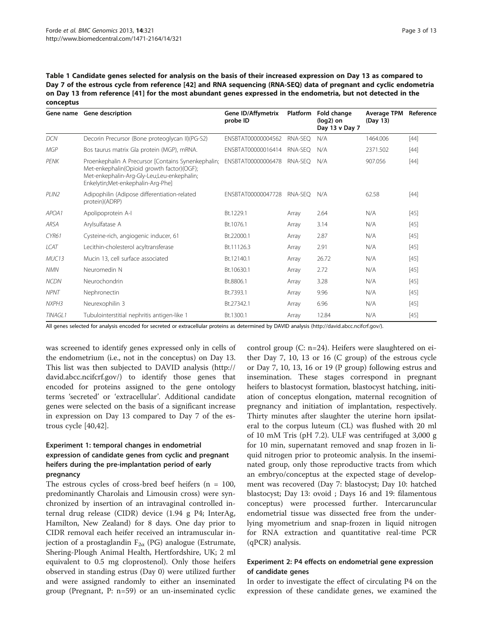<span id="page-2-0"></span>Table 1 Candidate genes selected for analysis on the basis of their increased expression on Day 13 as compared to Day 7 of the estrous cycle from reference [\[42](#page-11-0)] and RNA sequencing (RNA-SEQ) data of pregnant and cyclic endometria on Day 13 from reference [[41\]](#page-11-0) for the most abundant genes expressed in the endometria, but not detected in the conceptus

| Gene name         | <b>Gene description</b>                                                                                                                                                             | <b>Gene ID/Affymetrix</b><br>probe ID | <b>Platform</b> | Fold change<br>(log2) on<br>Day 13 v Day 7 | Average TPM<br>(Day 13) | Reference |  |
|-------------------|-------------------------------------------------------------------------------------------------------------------------------------------------------------------------------------|---------------------------------------|-----------------|--------------------------------------------|-------------------------|-----------|--|
| <b>DCN</b>        | Decorin Precursor (Bone proteoglycan II)(PG-S2)                                                                                                                                     | ENSBTAT00000004562                    | RNA-SEO         | N/A                                        | 1464.006                | $[44]$    |  |
| <b>MGP</b>        | Bos taurus matrix Gla protein (MGP), mRNA.                                                                                                                                          | ENSBTAT00000016414                    | RNA-SFO         | N/A                                        | 2371.502                | $[44]$    |  |
| PFNK              | Proenkephalin A Precursor [Contains Synenkephalin;<br>Met-enkephalin(Opioid growth factor)(OGF);<br>Met-enkephalin-Arg-Gly-Leu;Leu-enkephalin;<br>Enkelytin;Met-enkephalin-Arg-Phe] | ENSBTAT00000006478                    | RNA-SFO         | N/A                                        | 907.056                 | $[44]$    |  |
| PLIN <sub>2</sub> | Adipophilin (Adipose differentiation-related<br>protein)(ADRP)                                                                                                                      | ENSBTAT00000047728                    | RNA-SEO         | N/A                                        | 62.58                   | $[44]$    |  |
| APOA1             | Apolipoprotein A-I                                                                                                                                                                  | Bt.1229.1                             | Array           | 2.64                                       | N/A                     | $[45]$    |  |
| ARSA              | Arylsulfatase A                                                                                                                                                                     | Bt.1076.1                             | Array           | 3.14                                       | N/A                     | $[45]$    |  |
| CYR61             | Cysteine-rich, angiogenic inducer, 61                                                                                                                                               | Bt.22000.1                            | Array           | 2.87                                       | N/A                     | $[45]$    |  |
| ICAT              | Lecithin-cholesterol acyltransferase                                                                                                                                                | Bt.11126.3                            | Array           | 2.91                                       | N/A                     | $[45]$    |  |
| MUC <sub>13</sub> | Mucin 13, cell surface associated                                                                                                                                                   | Bt.12140.1                            | Array           | 26.72                                      | N/A                     | $[45]$    |  |
| <b>NMN</b>        | Neuromedin N                                                                                                                                                                        | Bt.10630.1                            | Array           | 2.72                                       | N/A                     | $[45]$    |  |
| <b>NCDN</b>       | Neurochondrin                                                                                                                                                                       | Bt.8806.1                             | Array           | 3.28                                       | N/A                     | $[45]$    |  |
| <b>NPNT</b>       | Nephronectin                                                                                                                                                                        | Bt.7393.1                             | Array           | 9.96                                       | N/A                     | $[45]$    |  |
| NXPH3             | Neurexophilin 3                                                                                                                                                                     | Bt.27342.1                            | Array           | 6.96                                       | N/A                     | $[45]$    |  |
| <b>TINAGL1</b>    | Tubulointerstitial nephritis antigen-like 1                                                                                                                                         | Bt.1300.1                             | Array           | 12.84                                      | N/A                     | $[45]$    |  |

All genes selected for analysis encoded for secreted or extracellular proteins as determined by DAVID analysis ([http://david.abcc.ncifcrf.gov/\)](http://david.abcc.ncifcrf.gov/).

was screened to identify genes expressed only in cells of the endometrium (i.e., not in the conceptus) on Day 13. This list was then subjected to DAVID analysis [\(http://](http://david.abcc.ncifcrf.gov/) [david.abcc.ncifcrf.gov/](http://david.abcc.ncifcrf.gov/)) to identify those genes that encoded for proteins assigned to the gene ontology terms 'secreted' or 'extracellular'. Additional candidate genes were selected on the basis of a significant increase in expression on Day 13 compared to Day 7 of the estrous cycle [[40,42\]](#page-11-0).

# Experiment 1: temporal changes in endometrial expression of candidate genes from cyclic and pregnant heifers during the pre-implantation period of early pregnancy

The estrous cycles of cross-bred beef heifers  $(n = 100,$ predominantly Charolais and Limousin cross) were synchronized by insertion of an intravaginal controlled internal drug release (CIDR) device (1.94 g P4; InterAg, Hamilton, New Zealand) for 8 days. One day prior to CIDR removal each heifer received an intramuscular injection of a prostaglandin  $F_{2\alpha}$  (PG) analogue (Estrumate, Shering-Plough Animal Health, Hertfordshire, UK; 2 ml equivalent to 0.5 mg cloprostenol). Only those heifers observed in standing estrus (Day 0) were utilized further and were assigned randomly to either an inseminated group (Pregnant, P: n=59) or an un-inseminated cyclic

control group (C: n=24). Heifers were slaughtered on either Day 7, 10, 13 or 16 (C group) of the estrous cycle or Day 7, 10, 13, 16 or 19 (P group) following estrus and insemination. These stages correspond in pregnant heifers to blastocyst formation, blastocyst hatching, initiation of conceptus elongation, maternal recognition of pregnancy and initiation of implantation, respectively. Thirty minutes after slaughter the uterine horn ipsilateral to the corpus luteum (CL) was flushed with 20 ml of 10 mM Tris (pH 7.2). ULF was centrifuged at 3,000 g for 10 min, supernatant removed and snap frozen in liquid nitrogen prior to proteomic analysis. In the inseminated group, only those reproductive tracts from which an embryo/conceptus at the expected stage of development was recovered (Day 7: blastocyst; Day 10: hatched blastocyst; Day 13: ovoid ; Days 16 and 19: filamentous conceptus) were processed further. Intercaruncular endometrial tissue was dissected free from the underlying myometrium and snap-frozen in liquid nitrogen for RNA extraction and quantitative real-time PCR (qPCR) analysis.

## Experiment 2: P4 effects on endometrial gene expression of candidate genes

In order to investigate the effect of circulating P4 on the expression of these candidate genes, we examined the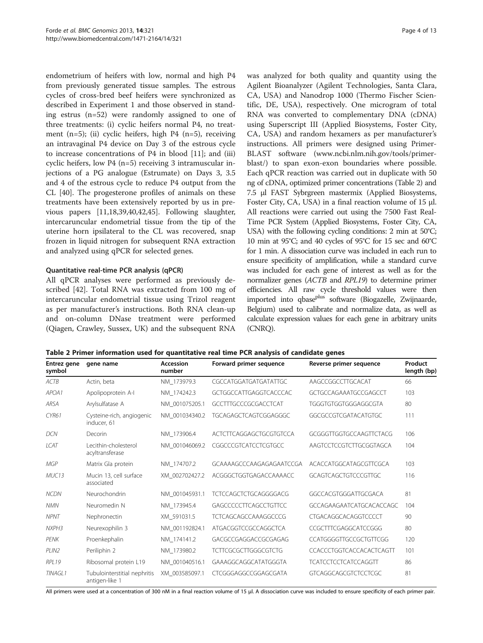endometrium of heifers with low, normal and high P4 from previously generated tissue samples. The estrous cycles of cross-bred beef heifers were synchronized as described in Experiment 1 and those observed in standing estrus (n=52) were randomly assigned to one of three treatments: (i) cyclic heifers normal P4, no treatment  $(n=5)$ ; (ii) cyclic heifers, high P4  $(n=5)$ , receiving an intravaginal P4 device on Day 3 of the estrous cycle to increase concentrations of P4 in blood [[11](#page-11-0)]; and (iii) cyclic heifers, low P4 (n=5) receiving 3 intramuscular injections of a PG analogue (Estrumate) on Days 3, 3.5 and 4 of the estrous cycle to reduce P4 output from the CL [\[40\]](#page-11-0). The progesterone profiles of animals on these treatments have been extensively reported by us in previous papers [\[11,18,39,40,42](#page-11-0)[,45\]](#page-12-0). Following slaughter, intercaruncular endometrial tissue from the tip of the uterine horn ipsilateral to the CL was recovered, snap frozen in liquid nitrogen for subsequent RNA extraction and analyzed using qPCR for selected genes.

#### Quantitative real-time PCR analysis (qPCR)

All qPCR analyses were performed as previously described [\[42\]](#page-11-0). Total RNA was extracted from 100 mg of intercaruncular endometrial tissue using Trizol reagent as per manufacturer's instructions. Both RNA clean-up and on-column DNase treatment were performed (Qiagen, Crawley, Sussex, UK) and the subsequent RNA was analyzed for both quality and quantity using the Agilent Bioanalyzer (Agilent Technologies, Santa Clara, CA, USA) and Nanodrop 1000 (Thermo Fischer Scientific, DE, USA), respectively. One microgram of total RNA was converted to complementary DNA (cDNA) using Superscript III (Applied Biosystems, Foster City, CA, USA) and random hexamers as per manufacturer's instructions. All primers were designed using Primer-BLAST software [\(www.ncbi.nlm.nih.gov/tools/primer](http://www.ncbi.nlm.nih.gov/tools/primer-blast/)[blast/](http://www.ncbi.nlm.nih.gov/tools/primer-blast/)) to span exon-exon boundaries where possible. Each qPCR reaction was carried out in duplicate with 50 ng of cDNA, optimized primer concentrations (Table 2) and 7.5 μl FAST Sybrgreen mastermix (Applied Biosystems, Foster City, CA, USA) in a final reaction volume of 15 μl. All reactions were carried out using the 7500 Fast Real-Time PCR System (Applied Biosystems, Foster City, CA, USA) with the following cycling conditions: 2 min at 50°C; 10 min at 95°C; and 40 cycles of 95°C for 15 sec and 60°C for 1 min. A dissociation curve was included in each run to ensure specificity of amplification, while a standard curve was included for each gene of interest as well as for the normalizer genes (ACTB and RPL19) to determine primer efficiencies. All raw cycle threshold values were then imported into qbase<sup>plus</sup> software (Biogazelle, Zwijnaarde, Belgium) used to calibrate and normalize data, as well as calculate expression values for each gene in arbitrary units (CNRQ).

Table 2 Primer information used for quantitative real time PCR analysis of candidate genes

| Entrez gene<br>symbol | gene name                                      | Accession<br>number | Forward primer sequence      | Reverse primer sequence     | Product<br>length (bp) |
|-----------------------|------------------------------------------------|---------------------|------------------------------|-----------------------------|------------------------|
| ACTB                  | Actin, beta                                    | NM 173979.3         | CGCCATGGATGATGATATTGC        | AAGCCGGCCTTGCACAT           | 66                     |
| APOA1                 | Apolipoprotein A-I                             | NM 174242.3         | GCTGGCCATTGAGGTCACCCAC       | GCTGCCAGAAATGCCGAGCCT       | 103                    |
| <b>ARSA</b>           | Arylsulfatase A                                | NM 001075205.1      | GCCTTTGCCCGCGACCTCAT         | TGGGTGTGGTGGGAGGCGTA        | 80                     |
| CYR61                 | Cysteine-rich, angiogenic<br>inducer. 61       | NM 001034340.2      | TGCAGAGCTCAGTCGGAGGGC        | GGCGCCGTCGATACATGTGC        | 111                    |
| <b>DCN</b>            | Decorin                                        | NM 173906.4         | ACTCTTCAGGAGCTGCGTGTCCA      | GCGGGTTGGTGCCAAGTTCTACG     | 106                    |
| <b>LCAT</b>           | Lecithin-cholesterol<br>acyltransferase        | NM 001046069.2      | CGGCCCGTCATCCTCGTGCC         | AAGTCCTCCGTCTTGCGGTAGCA     | 104                    |
| <b>MGP</b>            | Matrix Gla protein                             | NM 174707.2         | GCAAAAGCCCAAGAGAGAATCCGA     | ACACCATGGCATAGCGTTCGCA      | 103                    |
| MUC13                 | Mucin 13, cell surface<br>associated           | XM 002702427.2      | ACGGGCTGGTGAGACCAAAACC       | GCAGTCAGCTGTCCCGTTGC        | 116                    |
| <b>NCDN</b>           | Neurochondrin                                  | NM 001045931.1      | <b>TCTCCAGCTCTGCAGGGGACG</b> | GGCCACGTGGGATTGCGACA        | 81                     |
| <b>NMN</b>            | Neuromedin N                                   | NM 173945.4         | GAGCCCCCTTCAGCCTGTTCC        | GCCAGAAGAATCATGCACACCAGC    | 104                    |
| <b>NPNT</b>           | Nephronectin                                   | XM_591031.5         | <b>TCTCAGCAGCCAAAGGCCCG</b>  | CTGACAGGCACAGGTCCCCT        | 90                     |
| NXPH3                 | Neurexophilin 3                                | NM 001192824.1      | ATGACGGTCCGCCAGGCTCA         | CCGCTTTCGAGGCATCCGGG        | 80                     |
| PFNK                  | Proenkephalin                                  | NM 174141.2         | GACGCCGAGGACCGCGAGAG         | CCATGGGGTTGCCGCTGTTCGG      | 120                    |
| PLIN <sub>2</sub>     | Periliphin 2                                   | NM 173980.2         | <b>TCTTCGCGCTTGGGCGTCTG</b>  | CCACCCTGGTCACCACACTCAGTT    | 101                    |
| RPL19                 | Ribosomal protein L19                          | NM 001040516.1      | GAAAGGCAGGCATATGGGTA         | <b>TCATCCTCCTCATCCAGGTT</b> | 86                     |
| <b>TINAGL1</b>        | Tubulointerstitial nephritis<br>antigen-like 1 | XM 003585097.1      | CTCGGGAGGCCGGAGCGATA         | <b>GTCAGGCAGCGTCTCCTCGC</b> | 81                     |

All primers were used at a concentration of 300 nM in a final reaction volume of 15 μl. A dissociation curve was included to ensure specificity of each primer pair.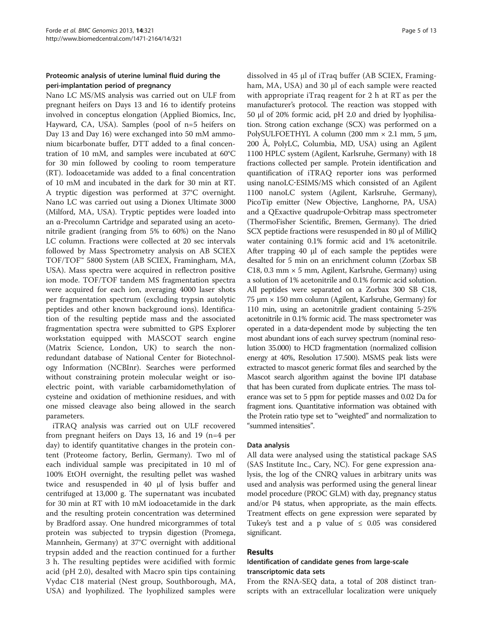# Proteomic analysis of uterine luminal fluid during the peri-implantation period of pregnancy

Nano LC MS/MS analysis was carried out on ULF from pregnant heifers on Days 13 and 16 to identify proteins involved in conceptus elongation (Applied Biomics, Inc, Hayward, CA, USA). Samples (pool of n=5 heifers on Day 13 and Day 16) were exchanged into 50 mM ammonium bicarbonate buffer, DTT added to a final concentration of 10 mM, and samples were incubated at 60°C for 30 min followed by cooling to room temperature (RT). Iodoacetamide was added to a final concentration of 10 mM and incubated in the dark for 30 min at RT. A tryptic digestion was performed at 37°C overnight. Nano LC was carried out using a Dionex Ultimate 3000 (Milford, MA, USA). Tryptic peptides were loaded into an α-Precolumn Cartridge and separated using an acetonitrile gradient (ranging from 5% to 60%) on the Nano LC column. Fractions were collected at 20 sec intervals followed by Mass Spectrometry analysis on AB SCIEX TOF/TOF™ 5800 System (AB SCIEX, Framingham, MA, USA). Mass spectra were acquired in reflectron positive ion mode. TOF/TOF tandem MS fragmentation spectra were acquired for each ion, averaging 4000 laser shots per fragmentation spectrum (excluding trypsin autolytic peptides and other known background ions). Identification of the resulting peptide mass and the associated fragmentation spectra were submitted to GPS Explorer workstation equipped with MASCOT search engine (Matrix Science, London, UK) to search the nonredundant database of National Center for Biotechnology Information (NCBInr). Searches were performed without constraining protein molecular weight or isoelectric point, with variable carbamidomethylation of cysteine and oxidation of methionine residues, and with one missed cleavage also being allowed in the search parameters.

iTRAQ analysis was carried out on ULF recovered from pregnant heifers on Days 13, 16 and 19 (n=4 per day) to identify quantitative changes in the protein content (Proteome factory, Berlin, Germany). Two ml of each individual sample was precipitated in 10 ml of 100% EtOH overnight, the resulting pellet was washed twice and resuspended in 40 μl of lysis buffer and centrifuged at 13,000 g. The supernatant was incubated for 30 min at RT with 10 mM iodoacetamide in the dark and the resulting protein concentration was determined by Bradford assay. One hundred micorgrammes of total protein was subjected to trypsin digestion (Promega, Mannhein, Germany) at 37°C overnight with additional trypsin added and the reaction continued for a further 3 h. The resulting peptides were acidified with formic acid (pH 2.0), desalted with Macro spin tips containing Vydac C18 material (Nest group, Southborough, MA, USA) and lyophilized. The lyophilized samples were

dissolved in 45 μl of iTraq buffer (AB SCIEX, Framingham, MA, USA) and 30 μl of each sample were reacted with appropriate iTraq reagent for 2 h at RT as per the manufacturer's protocol. The reaction was stopped with 50 μl of 20% formic acid, pH 2.0 and dried by lyophilisation. Strong cation exchange (SCX) was performed on a PolySULFOETHYL A column (200 mm × 2.1 mm, 5 μm, 200 Å, PolyLC, Columbia, MD, USA) using an Agilent 1100 HPLC system (Agilent, Karlsruhe, Germany) with 18 fractions collected per sample. Protein identification and quantification of iTRAQ reporter ions was performed using nanoLC‐ESIMS/MS which consisted of an Agilent 1100 nanoLC system (Agilent, Karlsruhe, Germany), PicoTip emitter (New Objective, Langhorne, PA, USA) and a QExactive quadrupole‐Orbitrap mass spectrometer (ThermoFisher Scientific, Bremen, Germany). The dried SCX peptide fractions were resuspended in 80 μl of MilliQ water containing 0.1% formic acid and 1% acetonitrile. After trapping 40 μl of each sample the peptides were desalted for 5 min on an enrichment column (Zorbax SB C18, 0.3 mm  $\times$  5 mm, Agilent, Karlsruhe, Germany) using a solution of 1% acetonitrile and 0.1% formic acid solution. All peptides were separated on a Zorbax 300 SB C18, 75 μm × 150 mm column (Agilent, Karlsruhe, Germany) for 110 min, using an acetonitrile gradient containing 5-25% acetonitrile in 0.1% formic acid. The mass spectrometer was operated in a data‐dependent mode by subjecting the ten most abundant ions of each survey spectrum (nominal resolution 35.000) to HCD fragmentation (normalized collision energy at 40%, Resolution 17.500). MSMS peak lists were extracted to mascot generic format files and searched by the Mascot search algorithm against the bovine IPI database that has been curated from duplicate entries. The mass tolerance was set to 5 ppm for peptide masses and 0.02 Da for fragment ions. Quantitative information was obtained with the Protein ratio type set to "weighted" and normalization to "summed intensities".

#### Data analysis

All data were analysed using the statistical package SAS (SAS Institute Inc., Cary, NC). For gene expression analysis, the log of the CNRQ values in arbitrary units was used and analysis was performed using the general linear model procedure (PROC GLM) with day, pregnancy status and/or P4 status, when appropriate, as the main effects. Treatment effects on gene expression were separated by Tukey's test and a p value of  $\leq$  0.05 was considered significant.

#### Results

## Identification of candidate genes from large-scale transcriptomic data sets

From the RNA-SEQ data, a total of 208 distinct transcripts with an extracellular localization were uniquely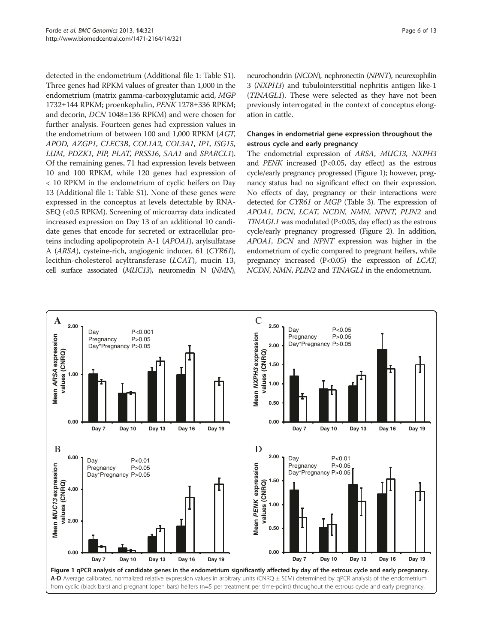detected in the endometrium (Additional file [1:](#page-10-0) Table S1). Three genes had RPKM values of greater than 1,000 in the endometrium (matrix gamma-carboxyglutamic acid, MGP 1732±144 RPKM; proenkephalin, PENK 1278±336 RPKM; and decorin, DCN 1048±136 RPKM) and were chosen for further analysis. Fourteen genes had expression values in the endometrium of between 100 and 1,000 RPKM (AGT, APOD, AZGP1, CLEC3B, COL1A2, COL3A1, IP1, ISG15, LUM, PDZK1, PIP, PLAT, PRSS16, SAA1 and SPARCL1). Of the remaining genes, 71 had expression levels between 10 and 100 RPKM, while 120 genes had expression of < 10 RPKM in the endometrium of cyclic heifers on Day 13 (Additional file [1](#page-10-0): Table S1). None of these genes were expressed in the conceptus at levels detectable by RNA-SEQ (<0.5 RPKM). Screening of microarray data indicated increased expression on Day 13 of an additional 10 candidate genes that encode for secreted or extracellular proteins including apolipoprotein A-1 (APOA1), arylsulfatase A (ARSA), cysteine-rich, angiogenic inducer, 61 (CYR61), lecithin-cholesterol acyltransferase (LCAT), mucin 13, cell surface associated (MUC13), neuromedin N (NMN),

neurochondrin (NCDN), nephronectin (NPNT), neurexophilin 3 (NXPH3) and tubulointerstitial nephritis antigen like-1 (TINAGL1). These were selected as they have not been previously interrogated in the context of conceptus elongation in cattle.

#### Changes in endometrial gene expression throughout the estrous cycle and early pregnancy

The endometrial expression of ARSA, MUC13, NXPH3 and  $PENK$  increased (P<0.05, day effect) as the estrous cycle/early pregnancy progressed (Figure 1); however, pregnancy status had no significant effect on their expression. No effects of day, pregnancy or their interactions were detected for CYR61 or MGP (Table [3](#page-6-0)). The expression of APOA1, DCN, LCAT, NCDN, NMN, NPNT, PLIN2 and TINAGL1 was modulated (P<0.05, day effect) as the estrous cycle/early pregnancy progressed (Figure [2\)](#page-7-0). In addition, APOA1, DCN and NPNT expression was higher in the endometrium of cyclic compared to pregnant heifers, while pregnancy increased  $(P<0.05)$  the expression of *LCAT*, NCDN, NMN, PLIN2 and TINAGL1 in the endometrium.

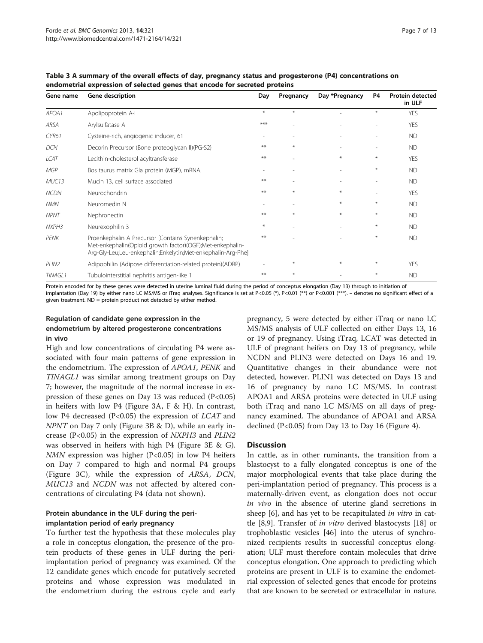| Gene name         | <b>Gene description</b>                                                                                                                                                         | Day   | Pregnancy                | Day *Pregnancy | P4     | <b>Protein detected</b><br>in ULF |
|-------------------|---------------------------------------------------------------------------------------------------------------------------------------------------------------------------------|-------|--------------------------|----------------|--------|-----------------------------------|
| APOA1             | Apolipoprotein A-I                                                                                                                                                              | $*$   | $*$                      |                | $\ast$ | <b>YES</b>                        |
| ARSA              | Arylsulfatase A                                                                                                                                                                 | ***   |                          |                |        | <b>YES</b>                        |
| CYR61             | Cysteine-rich, angiogenic inducer, 61                                                                                                                                           |       |                          |                |        | <b>ND</b>                         |
| <b>DCN</b>        | Decorin Precursor (Bone proteoglycan II)(PG-S2)                                                                                                                                 | **    | $\ast$                   |                | ٠      | <b>ND</b>                         |
| <b>LCAT</b>       | Lecithin-cholesterol acyltransferase                                                                                                                                            | $***$ |                          | $*$            | $\ast$ | <b>YES</b>                        |
| MGP               | Bos taurus matrix Gla protein (MGP), mRNA.                                                                                                                                      |       |                          |                | $\ast$ | <b>ND</b>                         |
| MUC13             | Mucin 13, cell surface associated                                                                                                                                               | $***$ | $\overline{\phantom{a}}$ |                |        | <b>ND</b>                         |
| <b>NCDN</b>       | Neurochondrin                                                                                                                                                                   | **    | $*$                      | $\ast$         | ٠      | <b>YES</b>                        |
| <b>NMN</b>        | Neuromedin N                                                                                                                                                                    |       |                          | $\ast$         | $\ast$ | <b>ND</b>                         |
| <b>NPNT</b>       | Nephronectin                                                                                                                                                                    | $***$ | $\ast$                   | $\ast$         | $\ast$ | <b>ND</b>                         |
| NXPH3             | Neurexophilin 3                                                                                                                                                                 | $*$   |                          |                | $\ast$ | <b>ND</b>                         |
| PENK              | Proenkephalin A Precursor [Contains Synenkephalin;<br>Met-enkephalin(Opioid growth factor)(OGF);Met-enkephalin-<br>Arg-Gly-Leu;Leu-enkephalin;Enkelytin;Met-enkephalin-Arg-Phe] | **    |                          |                | $\ast$ | <b>ND</b>                         |
| PLIN <sub>2</sub> | Adipophilin (Adipose differentiation-related protein)(ADRP)                                                                                                                     |       | $\ast$                   | $\ast$         | $\ast$ | <b>YES</b>                        |
| <b>TINAGL1</b>    | Tubulointerstitial nephritis antigen-like 1                                                                                                                                     | **    | $*$                      |                | $\ast$ | <b>ND</b>                         |

<span id="page-6-0"></span>Table 3 A summary of the overall effects of day, pregnancy status and progesterone (P4) concentrations on endometrial expression of selected genes that encode for secreted proteins

Protein encoded for by these genes were detected in uterine luminal fluid during the period of conceptus elongation (Day 13) through to initiation of implantation (Day 19) by either nano LC MS/MS or iTraq analyses. Significance is set at P<0.05 (\*), P<0.01 (\*\*) or P<0.001 (\*\*\*). – denotes no significant effect of a given treatment. ND = protein product not detected by either method.

#### Regulation of candidate gene expression in the endometrium by altered progesterone concentrations in vivo

High and low concentrations of circulating P4 were associated with four main patterns of gene expression in the endometrium. The expression of APOA1, PENK and TINAGL1 was similar among treatment groups on Day 7; however, the magnitude of the normal increase in expression of these genes on Day 13 was reduced  $(P<0.05)$ in heifers with low P4 (Figure [3](#page-8-0)A, F & H). In contrast, low P4 decreased (P<0.05) the expression of *LCAT* and NPNT on Day 7 only (Figure [3](#page-8-0)B & D), while an early increase (P<0.05) in the expression of NXPH3 and PLIN2 was observed in heifers with high P4 (Figure [3E](#page-8-0) & G).  $N$ MN expression was higher (P<0.05) in low P4 heifers on Day 7 compared to high and normal P4 groups (Figure [3](#page-8-0)C), while the expression of ARSA, DCN, MUC13 and NCDN was not affected by altered concentrations of circulating P4 (data not shown).

# Protein abundance in the ULF during the periimplantation period of early pregnancy

To further test the hypothesis that these molecules play a role in conceptus elongation, the presence of the protein products of these genes in ULF during the periimplantation period of pregnancy was examined. Of the 12 candidate genes which encode for putatively secreted proteins and whose expression was modulated in the endometrium during the estrous cycle and early

pregnancy, 5 were detected by either iTraq or nano LC MS/MS analysis of ULF collected on either Days 13, 16 or 19 of pregnancy. Using iTraq, LCAT was detected in ULF of pregnant heifers on Day 13 of pregnancy, while NCDN and PLIN3 were detected on Days 16 and 19. Quantitative changes in their abundance were not detected, however. PLIN1 was detected on Days 13 and 16 of pregnancy by nano LC MS/MS. In contrast APOA1 and ARSA proteins were detected in ULF using both iTraq and nano LC MS/MS on all days of pregnancy examined. The abundance of APOA1 and ARSA declined  $(P<0.05)$  from Day 13 to Day 16 (Figure [4\)](#page-9-0).

# **Discussion**

In cattle, as in other ruminants, the transition from a blastocyst to a fully elongated conceptus is one of the major morphological events that take place during the peri-implantation period of pregnancy. This process is a maternally-driven event, as elongation does not occur in vivo in the absence of uterine gland secretions in sheep [\[6](#page-11-0)], and has yet to be recapitulated *in vitro* in cattle [[8,9\]](#page-11-0). Transfer of in vitro derived blastocysts [[18\]](#page-11-0) or trophoblastic vesicles [\[46\]](#page-12-0) into the uterus of synchronized recipients results in successful conceptus elongation; ULF must therefore contain molecules that drive conceptus elongation. One approach to predicting which proteins are present in ULF is to examine the endometrial expression of selected genes that encode for proteins that are known to be secreted or extracellular in nature.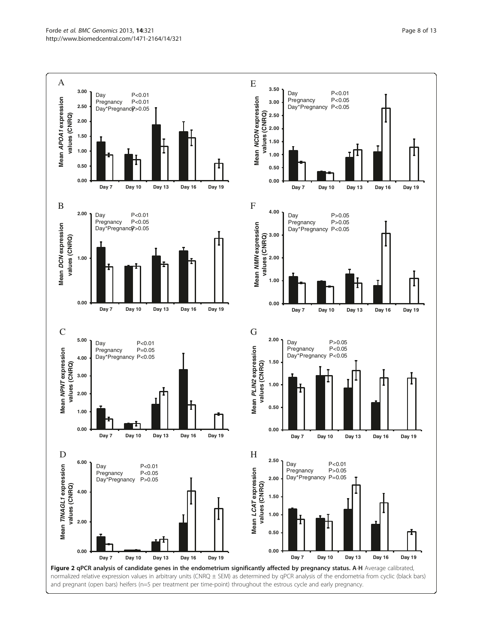<span id="page-7-0"></span>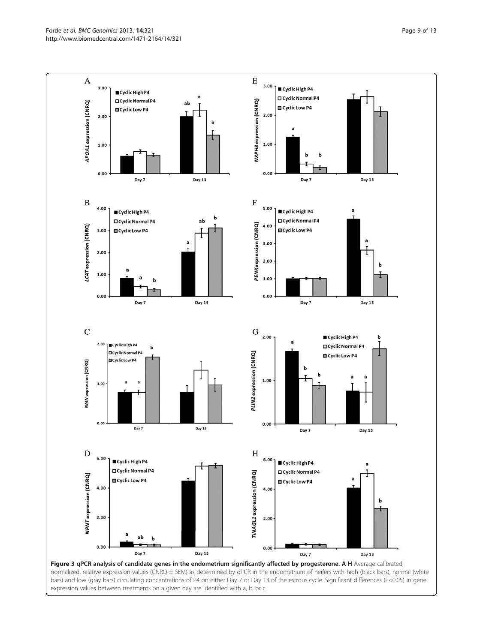Forde et al. BMC Genomics 2013, 14:321 **Page 9 of 13** Page 9 of 13 http://www.biomedcentral.com/1471-2164/14/321

<span id="page-8-0"></span>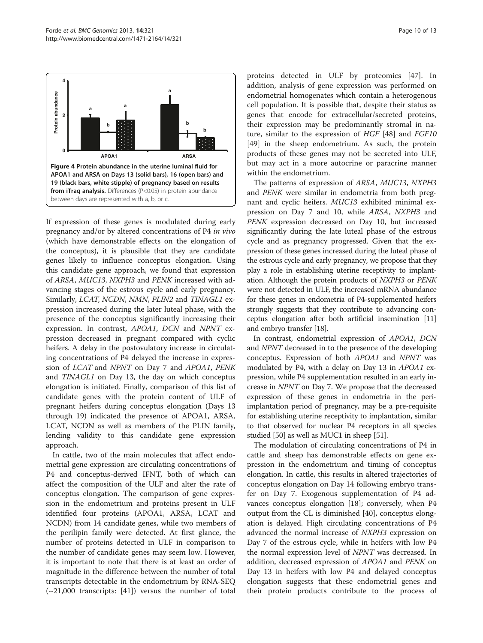<span id="page-9-0"></span>

If expression of these genes is modulated during early pregnancy and/or by altered concentrations of P4 in vivo (which have demonstrable effects on the elongation of the conceptus), it is plausible that they are candidate genes likely to influence conceptus elongation. Using this candidate gene approach, we found that expression of ARSA, MUC13, NXPH3 and PENK increased with advancing stages of the estrous cycle and early pregnancy. Similarly, LCAT, NCDN, NMN, PLIN2 and TINAGL1 expression increased during the later luteal phase, with the presence of the conceptus significantly increasing their expression. In contrast, APOA1, DCN and NPNT expression decreased in pregnant compared with cyclic heifers. A delay in the postovulatory increase in circulating concentrations of P4 delayed the increase in expression of LCAT and NPNT on Day 7 and APOA1, PENK and TINAGL1 on Day 13, the day on which conceptus elongation is initiated. Finally, comparison of this list of candidate genes with the protein content of ULF of pregnant heifers during conceptus elongation (Days 13 through 19) indicated the presence of APOA1, ARSA, LCAT, NCDN as well as members of the PLIN family, lending validity to this candidate gene expression approach.

In cattle, two of the main molecules that affect endometrial gene expression are circulating concentrations of P4 and conceptus-derived IFNT, both of which can affect the composition of the ULF and alter the rate of conceptus elongation. The comparison of gene expression in the endometrium and proteins present in ULF identified four proteins (APOA1, ARSA, LCAT and NCDN) from 14 candidate genes, while two members of the perilipin family were detected. At first glance, the number of proteins detected in ULF in comparison to the number of candidate genes may seem low. However, it is important to note that there is at least an order of magnitude in the difference between the number of total transcripts detectable in the endometrium by RNA-SEQ  $(\sim 21,000$  transcripts: [[41\]](#page-11-0)) versus the number of total

proteins detected in ULF by proteomics [\[47](#page-12-0)]. In addition, analysis of gene expression was performed on endometrial homogenates which contain a heterogenous cell population. It is possible that, despite their status as genes that encode for extracellular/secreted proteins, their expression may be predominantly stromal in nature, similar to the expression of HGF [\[48\]](#page-12-0) and FGF10 [[49\]](#page-12-0) in the sheep endometrium. As such, the protein products of these genes may not be secreted into ULF, but may act in a more autocrine or paracrine manner within the endometrium.

The patterns of expression of ARSA, MUC13, NXPH3 and PENK were similar in endometria from both pregnant and cyclic heifers. MUC13 exhibited minimal expression on Day 7 and 10, while ARSA, NXPH3 and PENK expression decreased on Day 10, but increased significantly during the late luteal phase of the estrous cycle and as pregnancy progressed. Given that the expression of these genes increased during the luteal phase of the estrous cycle and early pregnancy, we propose that they play a role in establishing uterine receptivity to implantation. Although the protein products of NXPH3 or PENK were not detected in ULF, the increased mRNA abundance for these genes in endometria of P4-supplemented heifers strongly suggests that they contribute to advancing conceptus elongation after both artificial insemination [\[11](#page-11-0)] and embryo transfer [\[18\]](#page-11-0).

In contrast, endometrial expression of APOA1, DCN and NPNT decreased in to the presence of the developing conceptus. Expression of both APOA1 and NPNT was modulated by P4, with a delay on Day 13 in APOA1 expression, while P4 supplementation resulted in an early increase in NPNT on Day 7. We propose that the decreased expression of these genes in endometria in the periimplantation period of pregnancy, may be a pre-requisite for establishing uterine receptivity to implantation, similar to that observed for nuclear P4 receptors in all species studied [\[50](#page-12-0)] as well as MUC1 in sheep [\[51\]](#page-12-0).

The modulation of circulating concentrations of P4 in cattle and sheep has demonstrable effects on gene expression in the endometrium and timing of conceptus elongation. In cattle, this results in altered trajectories of conceptus elongation on Day 14 following embryo transfer on Day 7. Exogenous supplementation of P4 advances conceptus elongation [[18](#page-11-0)]; conversely, when P4 output from the CL is diminished [\[40](#page-11-0)], conceptus elongation is delayed. High circulating concentrations of P4 advanced the normal increase of NXPH3 expression on Day 7 of the estrous cycle, while in heifers with low P4 the normal expression level of NPNT was decreased. In addition, decreased expression of APOA1 and PENK on Day 13 in heifers with low P4 and delayed conceptus elongation suggests that these endometrial genes and their protein products contribute to the process of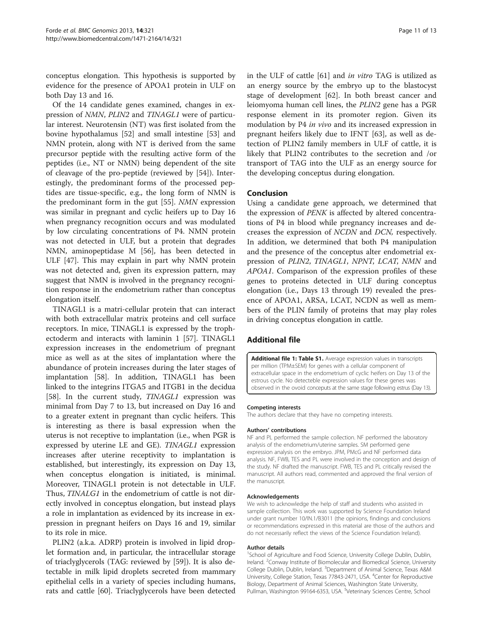<span id="page-10-0"></span>conceptus elongation. This hypothesis is supported by evidence for the presence of APOA1 protein in ULF on both Day 13 and 16.

Of the 14 candidate genes examined, changes in expression of NMN, PLIN2 and TINAGL1 were of particular interest. Neurotensin (NT) was first isolated from the bovine hypothalamus [[52\]](#page-12-0) and small intestine [\[53\]](#page-12-0) and NMN protein, along with NT is derived from the same precursor peptide with the resulting active form of the peptides (i.e., NT or NMN) being dependent of the site of cleavage of the pro-peptide (reviewed by [\[54](#page-12-0)]). Interestingly, the predominant forms of the processed peptides are tissue-specific, e.g., the long form of NMN is the predominant form in the gut [[55](#page-12-0)]. NMN expression was similar in pregnant and cyclic heifers up to Day 16 when pregnancy recognition occurs and was modulated by low circulating concentrations of P4. NMN protein was not detected in ULF, but a protein that degrades NMN, aminopeptidase M [[56\]](#page-12-0), has been detected in ULF [[47\]](#page-12-0). This may explain in part why NMN protein was not detected and, given its expression pattern, may suggest that NMN is involved in the pregnancy recognition response in the endometrium rather than conceptus elongation itself.

TINAGL1 is a matri-cellular protein that can interact with both extracellular matrix proteins and cell surface receptors. In mice, TINAGL1 is expressed by the trophectoderm and interacts with laminin 1 [\[57\]](#page-12-0). TINAGL1 expression increases in the endometrium of pregnant mice as well as at the sites of implantation where the abundance of protein increases during the later stages of implantation [\[58](#page-12-0)]. In addition, TINAGL1 has been linked to the integrins ITGA5 and ITGB1 in the decidua [[58\]](#page-12-0). In the current study, TINAGL1 expression was minimal from Day 7 to 13, but increased on Day 16 and to a greater extent in pregnant than cyclic heifers. This is interesting as there is basal expression when the uterus is not receptive to implantation (i.e., when PGR is expressed by uterine LE and GE). TINAGL1 expression increases after uterine receptivity to implantation is established, but interestingly, its expression on Day 13, when conceptus elongation is initiated, is minimal. Moreover, TINAGL1 protein is not detectable in ULF. Thus, TINALG1 in the endometrium of cattle is not directly involved in conceptus elongation, but instead plays a role in implantation as evidenced by its increase in expression in pregnant heifers on Days 16 and 19, similar to its role in mice.

PLIN2 (a.k.a. ADRP) protein is involved in lipid droplet formation and, in particular, the intracellular storage of triaclyglycerols (TAG: reviewed by [[59\]](#page-12-0)). It is also detectable in milk lipid droplets secreted from mammary epithelial cells in a variety of species including humans, rats and cattle [[60](#page-12-0)]. Triaclyglycerols have been detected in the ULF of cattle [\[61](#page-12-0)] and in vitro TAG is utilized as an energy source by the embryo up to the blastocyst stage of development [\[62](#page-12-0)]. In both breast cancer and leiomyoma human cell lines, the PLIN2 gene has a PGR response element in its promoter region. Given its modulation by P4 in vivo and its increased expression in pregnant heifers likely due to IFNT [[63\]](#page-12-0), as well as detection of PLIN2 family members in ULF of cattle, it is likely that PLIN2 contributes to the secretion and /or transport of TAG into the ULF as an energy source for the developing conceptus during elongation.

#### Conclusion

Using a candidate gene approach, we determined that the expression of PENK is affected by altered concentrations of P4 in blood while pregnancy increases and decreases the expression of NCDN and DCN, respectively. In addition, we determined that both P4 manipulation and the presence of the conceptus alter endometrial expression of PLIN2, TINAGL1, NPNT, LCAT, NMN and APOA1. Comparison of the expression profiles of these genes to proteins detected in ULF during conceptus elongation (i.e., Days 13 through 19) revealed the presence of APOA1, ARSA, LCAT, NCDN as well as members of the PLIN family of proteins that may play roles in driving conceptus elongation in cattle.

# Additional file

[Additional file 1: Table S1.](http://www.biomedcentral.com/content/supplementary/1471-2164-14-321-S1.xlsx) Average expression values in transcripts per million (TPM±SEM) for genes with a cellular component of extracellular space in the endometrium of cyclic heifers on Day 13 of the estrous cycle. No detecteble expression values for these genes was observed in the ovoid conceputs at the same stage following estrus (Day 13).

#### Competing interests

The authors declare that they have no competing interests.

#### Authors' contributions

NF and PL performed the sample collection. NF performed the laboratory analysis of the endometrium/uterine samples. SM performed gene expression analysis on the embryo. JPM, PMcG and NF performed data analysis. NF, FWB, TES and PL were involved in the conception and design of the study. NF drafted the manuscript. FWB, TES and PL critically revised the manuscript. All authors read, commented and approved the final version of the manuscript.

#### Acknowledgements

We wish to acknowledge the help of staff and students who assisted in sample collection. This work was supported by Science Foundation Ireland under grant number 10/IN.1/B3011 (the opinions, findings and conclusions or recommendations expressed in this material are those of the authors and do not necessarily reflect the views of the Science Foundation Ireland).

#### Author details

<sup>1</sup>School of Agriculture and Food Science, University College Dublin, Dublin, Ireland. <sup>2</sup> Conway Institute of Biomolecular and Biomedical Science, University College Dublin, Dublin, Ireland. <sup>3</sup>Department of Animal Science, Texas A&M University, College Station, Texas 77843-2471, USA. <sup>4</sup>Center for Reproductive Biology, Department of Animal Sciences, Washington State University, Pullman, Washington 99164-6353, USA. <sup>5</sup>Veterinary Sciences Centre, School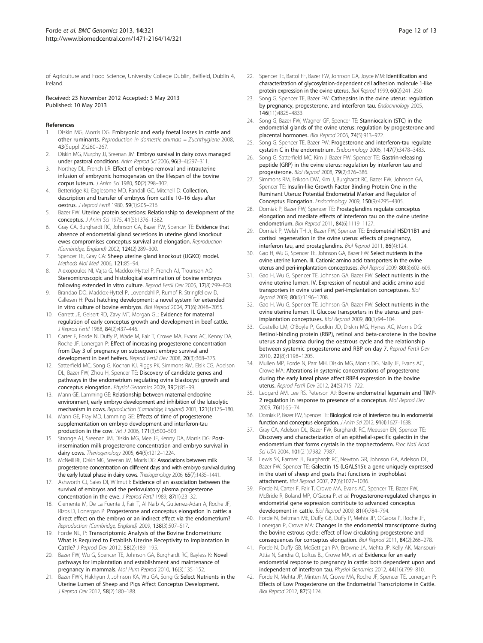<span id="page-11-0"></span>of Agriculture and Food Science, University College Dublin, Belfield, Dublin 4, Ireland.

#### Received: 23 November 2012 Accepted: 3 May 2013 Published: 10 May 2013

#### References

- Diskin MG, Morris DG: Embryonic and early foetal losses in cattle and other ruminants. Reproduction in domestic animals = Zuchthygiene 2008, 43(Suppl 2):260–267.
- 2. Diskin MG, Murphy JJ, Sreenan JM: Embryo survival in dairy cows managed under pastoral conditions. Anim Reprod Sci 2006, 96(3–4):297–311.
- 3. Northey DL, French LR: Effect of embryo removal and intrauterine infusion of embryonic homogenates on the lifespan of the bovine corpus luteum. J Anim Sci 1980, 50(2):298–302.
- 4. Betteridge KJ, Eaglesome MD, Randall GC, Mitchell D: Collection, description and transfer of embryos from cattle 10–16 days after oestrus. J Reprod Fertil 1980, 59(1):205–216.
- Bazer FW: Uterine protein secretions: Relationship to development of the conceptus. J Anim Sci 1975, 41(5):1376–1382.
- Gray CA, Burghardt RC, Johnson GA, Bazer FW, Spencer TE: Evidence that absence of endometrial gland secretions in uterine gland knockout ewes compromises conceptus survival and elongation. Reproduction (Cambridge, England) 2002, 124(2):289–300.
- 7. Spencer TE, Gray CA: Sheep uterine gland knockout (UGKO) model. Methods Mol Med 2006, 121:85–94.
- 8. Alexopoulos NI, Vajta G, Maddox-Hyttel P, French AJ, Trounson AO: Stereomicroscopic and histological examination of bovine embryos following extended in vitro culture. Reprod Fertil Dev 2005, 17(8):799–808.
- 9. Brandao DO, Maddox-Hyttel P, Lovendahl P, Rumpf R, Stringfellow D, Callesen H: Post hatching development: a novel system for extended in vitro culture of bovine embryos. Biol Reprod 2004, 71(6):2048–2055.
- 10. Garrett JE, Geisert RD, Zavy MT, Morgan GL: Evidence for maternal regulation of early conceptus growth and development in beef cattle. J Reprod Fertil 1988, 84(2):437–446.
- 11. Carter F, Forde N, Duffy P, Wade M, Fair T, Crowe MA, Evans AC, Kenny DA, Roche JF, Lonergan P: Effect of increasing progesterone concentration from Day 3 of pregnancy on subsequent embryo survival and development in beef heifers. Reprod Fertil Dev 2008, 20(3):368–375.
- 12. Satterfield MC, Song G, Kochan KJ, Riggs PK, Simmons RM, Elsik CG, Adelson DL, Bazer FW, Zhou H, Spencer TE: Discovery of candidate genes and pathways in the endometrium regulating ovine blastocyst growth and conceptus elongation. Physiol Genomics 2009, 39(2):85–99.
- 13. Mann GE, Lamming GE: Relationship between maternal endocrine environment, early embryo development and inhibition of the luteolytic mechanism in cows. Reproduction (Cambridge, England) 2001, 121(1):175–180.
- 14. Mann GE, Fray MD, Lamming GE: Effects of time of progesterone supplementation on embryo development and interferon-tau production in the cow. Vet J 2006, 171(3):500–503.
- 15. Stronge AJ, Sreenan JM, Diskin MG, Mee JF, Kenny DA, Morris DG: Postinsemination milk progesterone concentration and embryo survival in dairy cows. Theriogenology 2005, 64(5):1212–1224.
- 16. McNeill RE, Diskin MG, Sreenan JM, Morris DG: Associations between milk progesterone concentration on different days and with embryo survival during the early luteal phase in dairy cows. Theriogenology 2006, 65(7):1435-1441
- 17. Ashworth CJ, Sales DI, Wilmut I: Evidence of an association between the survival of embryos and the periovulatory plasma progesterone concentration in the ewe. J Reprod Fertil 1989, 87(1):23-32.
- 18. Clemente M, De La Fuente J, Fair T, Al Naib A, Gutierrez-Adan A, Roche JF, Rizos D, Lonergan P: Progesterone and conceptus elongation in cattle: a direct effect on the embryo or an indirect effect via the endometrium? Reproduction (Cambridge, England) 2009, 138(3):507–517.
- 19. Forde NL, P: Transcriptomic Analysis of the Bovine Endometrium: What is Required to Establish Uterine Receptivity to Implantation in Cattle? J Reprod Dev 2012, 58(2):189–195.
- 20. Bazer FW, Wu G, Spencer TE, Johnson GA, Burghardt RC, Bayless K: Novel pathways for implantation and establishment and maintenance of pregnancy in mammals. Mol Hum Reprod 2010, 16(3):135–152.
- 21. Bazer FWK, Hakhyun J, Johnson KA, Wu GA, Song G: Select Nutrients in the Uterine Lumen of Sheep and Pigs Affect Conceptus Development. J Reprod Dev 2012, 58(2):180–188.
- 22. Spencer TE, Bartol FF, Bazer FW, Johnson GA, Joyce MM: Identification and characterization of glycosylation-dependent cell adhesion molecule 1-like protein expression in the ovine uterus. Biol Reprod 1999, 60(2):241–250.
- 23. Song G, Spencer TE, Bazer FW: Cathepsins in the ovine uterus: regulation by pregnancy, progesterone, and interferon tau. Endocrinology 2005, 146(11):4825–4833.
- 24. Song G, Bazer FW, Wagner GF, Spencer TE: Stanniocalcin (STC) in the endometrial glands of the ovine uterus: regulation by progesterone and placental hormones. Biol Reprod 2006, 74(5):913–922.
- 25. Song G, Spencer TE, Bazer FW: Progesterone and interferon-tau regulate cystatin C in the endometrium. Endocrinology 2006, 147(7):3478–3483.
- 26. Song G, Satterfield MC, Kim J, Bazer FW, Spencer TE: Gastrin-releasing peptide (GRP) in the ovine uterus: regulation by interferon tau and progesterone. Biol Reprod 2008, 79(2):376–386.
- Simmons RM, Erikson DW, Kim J, Burghardt RC, Bazer FW, Johnson GA, Spencer TE: Insulin-like Growth Factor Binding Protein One in the Ruminant Uterus: Potential Endometrial Marker and Regulator of Conceptus Elongation. Endocrinology 2009, 150(9):4295–4305.
- 28. Dorniak P, Bazer FW, Spencer TE: Prostaglandins regulate conceptus elongation and mediate effects of interferon tau on the ovine uterine endometrium. Biol Reprod 2011, 84(6):1119–1127.
- 29. Dorniak P, Welsh TH Jr, Bazer FW, Spencer TE: Endometrial HSD11B1 and cortisol regeneration in the ovine uterus: effects of pregnancy, interferon tau, and prostaglandins. Biol Reprod 2011, 86(4):124.
- 30. Gao H, Wu G, Spencer TE, Johnson GA, Bazer FW: Select nutrients in the ovine uterine lumen. III. Cationic amino acid transporters in the ovine uterus and peri-implantation conceptuses. Biol Reprod 2009, 80(3):602–609.
- 31. Gao H, Wu G, Spencer TE, Johnson GA, Bazer FW: Select nutrients in the ovine uterine lumen. IV. Expression of neutral and acidic amino acid transporters in ovine uteri and peri-implantation conceptuses. Biol Reprod 2009, 80(6):1196–1208.
- 32. Gao H, Wu G, Spencer TE, Johnson GA, Bazer FW: Select nutrients in the ovine uterine lumen. II. Glucose transporters in the uterus and periimplantation conceptuses. Biol Reprod 2009, 80(1):94–104.
- 33. Costello LM, O'Boyle P, Godkin JD, Diskin MG, Hynes AC, Morris DG: Retinol-binding protein (RBP), retinol and beta-carotene in the bovine uterus and plasma during the oestrous cycle and the relationship between systemic progesterone and RBP on day 7. Reprod Fertil Dev 2010, 22(8):1198–1205.
- 34. Mullen MP, Forde N, Parr MH, Diskin MG, Morris DG, Nally JE, Evans AC, Crowe MA: Alterations in systemic concentrations of progesterone during the early luteal phase affect RBP4 expression in the bovine uterus. Reprod Fertil Dev 2012, 24(5):715–722.
- 35. Ledgard AM, Lee RS, Peterson AJ: Bovine endometrial legumain and TIMP-2 regulation in response to presence of a conceptus. Mol Reprod Dev 2009, 76(1):65–74.
- 36. Dorniak P, Bazer FW, Spencer TE: Biological role of interferon tau in endometrial function and conceptus elongation. J Anim Sci 2012, 91(4):1627–1638.
- 37. Gray CA, Adelson DL, Bazer FW, Burghardt RC, Meeusen EN, Spencer TE: Discovery and characterization of an epithelial-specific galectin in the endometrium that forms crystals in the trophectoderm. Proc Natl Acad Sci USA 2004, 101(21):7982–7987.
- 38. Lewis SK, Farmer JL, Burghardt RC, Newton GR, Johnson GA, Adelson DL, Bazer FW, Spencer TE: Galectin 15 (LGALS15): a gene uniquely expressed in the uteri of sheep and goats that functions in trophoblast attachment. Biol Reprod 2007, 77(6):1027–1036.
- Forde N, Carter F, Fair T, Crowe MA, Evans AC, Spencer TE, Bazer FW, McBride R, Boland MP, O'Gaora P, et al: Progesterone-regulated changes in endometrial gene expression contribute to advanced conceptus development in cattle. Biol Reprod 2009, 81(4):784–794.
- 40. Forde N, Beltman ME, Duffy GB, Duffy P, Mehta JP, O'Gaora P, Roche JF, Lonergan P, Crowe MA: Changes in the endometrial transcriptome during the bovine estrous cycle: effect of low circulating progesterone and consequences for conceptus elongation. Biol Reprod 2011, 84(2):266–278.
- 41. Forde N, Duffy GB, McGettigan PA, Browne JA, Mehta JP, Kelly AK, Mansouri-Attia N, Sandra O, Loftus BJ, Crowe MA, et al: Evidence for an early endometrial response to pregnancy in cattle: both dependent upon and independent of interferon tau. Physiol Genomics 2012, 44(16):799–810.
- 42. Forde N, Mehta JP, Minten M, Crowe MA, Roche JF, Spencer TE, Lonergan P: Effects of Low Progesterone on the Endometrial Transcriptome in Cattle. Biol Reprod 2012, 87(5):124.